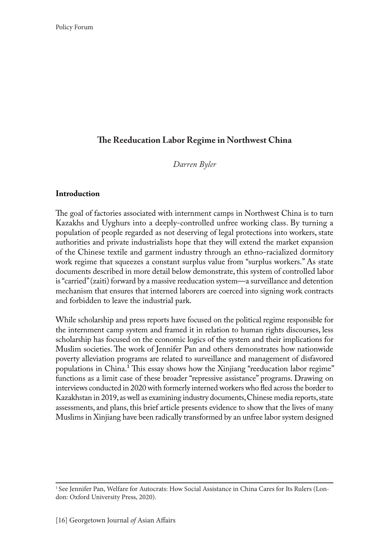# **The Reeducation Labor Regime in Northwest China**

*Darren Byler*

#### **Introduction**

The goal of factories associated with internment camps in Northwest China is to turn Kazakhs and Uyghurs into a deeply-controlled unfree working class. By turning a population of people regarded as not deserving of legal protections into workers, state authorities and private industrialists hope that they will extend the market expansion of the Chinese textile and garment industry through an ethno-racialized dormitory work regime that squeezes a constant surplus value from "surplus workers." As state documents described in more detail below demonstrate, this system of controlled labor is "carried" (zaiti) forward by a massive reeducation system—a surveillance and detention mechanism that ensures that interned laborers are coerced into signing work contracts and forbidden to leave the industrial park.

While scholarship and press reports have focused on the political regime responsible for the internment camp system and framed it in relation to human rights discourses, less scholarship has focused on the economic logics of the system and their implications for Muslim societies. The work of Jennifer Pan and others demonstrates how nationwide poverty alleviation programs are related to surveillance and management of disfavored populations in China.<sup>1</sup> This essay shows how the Xinjiang "reeducation labor regime" functions as a limit case of these broader "repressive assistance" programs. Drawing on interviews conducted in 2020 with formerly interned workers who fled across the border to Kazakhstan in 2019, as well as examining industry documents, Chinese media reports, state assessments, and plans, this brief article presents evidence to show that the lives of many Muslims in Xinjiang have been radically transformed by an unfree labor system designed

<sup>&</sup>lt;sup>1</sup> See Jennifer Pan, Welfare for Autocrats: How Social Assistance in China Cares for Its Rulers (London: Oxford University Press, 2020).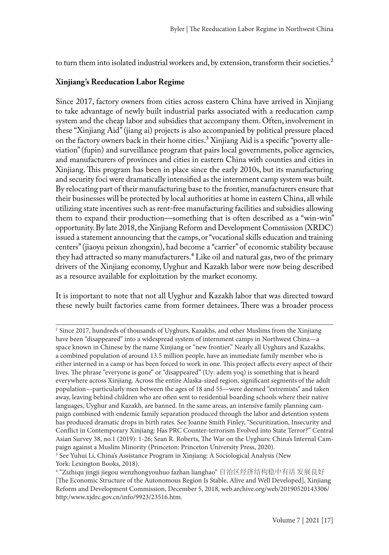to turn them into isolated industrial workers and, by extension, transform their societies.<sup>2</sup>

#### **Xinjiang's Reeducation Labor Regime**

Since 2017, factory owners from cities across eastern China have arrived in Xinjiang to take advantage of newly built industrial parks associated with a reeducation camp system and the cheap labor and subsidies that accompany them. Often, involvement in these "Xinjiang Aid" (jiang ai) projects is also accompanied by political pressure placed on the factory owners back in their home cities.<sup>3</sup> Xinjiang Aid is a specific "poverty alleviation" (fupin) and surveillance program that pairs local governments, police agencies, and manufacturers of provinces and cities in eastern China with counties and cities in Xinjiang. This program has been in place since the early 2010s, but its manufacturing and security foci were dramatically intensified as the internment camp system was built. By relocating part of their manufacturing base to the frontier, manufacturers ensure that their businesses will be protected by local authorities at home in eastern China, all while utilizing state incentives such as rent-free manufacturing facilities and subsidies allowing them to expand their production—something that is often described as a "win-win" opportunity. By late 2018, the Xinjiang Reform and Development Commission (XRDC) issued a statement announcing that the camps, or "vocational skills education and training centers" (jiaoyu peixun zhongxin), had become a "carrier" of economic stability because they had attracted so many manufacturers.<sup>4</sup> Like oil and natural gas, two of the primary drivers of the Xinjiang economy, Uyghur and Kazakh labor were now being described as a resource available for exploitation by the market economy.

It is important to note that not all Uyghur and Kazakh labor that was directed toward these newly built factories came from former detainees. There was a broader process

<sup>2</sup> Since 2017, hundreds of thousands of Uyghurs, Kazakhs, and other Muslims from the Xinjiang have been "disappeared" into a widespread system of internment camps in Northwest China—a space known in Chinese by the name Xinjiang or "new frontier." Nearly all Uyghurs and Kazakhs, a combined population of around 13.5 million people, have an immediate family member who is either interned in a camp or has been forced to work in one. This project affects every aspect of their lives. The phrase "everyone is gone" or "disappeared" (Uy: adem yoq) is something that is heard everywhere across Xinjiang. Across the entire Alaska-sized region, significant segments of the adult population—particularly men between the ages of 18 and 55—were deemed "extremists" and taken away, leaving behind children who are often sent to residential boarding schools where their native languages, Uyghur and Kazakh, are banned. In the same areas, an intensive family planning campaign combined with endemic family separation produced through the labor and detention system has produced dramatic drops in birth rates. See Joanne Smith Finley, "Securitization, Insecurity and Conflict in Contemporary Xinjiang: Has PRC Counter-terrorism Evolved into State Terror?" Central Asian Survey 38, no.1 (2019): 1-26; Sean R. Roberts, The War on the Uyghurs: China's Internal Campaign against a Muslim Minority (Princeton: Princeton University Press, 2020).

<sup>&</sup>lt;sup>3</sup> See Yuhui Li, China's Assistance Program in Xinjiang: A Sociological Analysis (New York: Lexington Books, 2018).

<sup>4</sup> "Zizhiqu jingji jiegou wenzhongyouhuo fazhan lianghao" 自治区经济结构稳中有活 发展良好 [The Economic Structure of the Autonomous Region Is Stable, Alive and Well Developed], Xinjiang Reform and Development Commission, December 5, 2018, web.archive.org/web/20190520143306/ http:/www.xjdrc.gov.cn/info/9923/23516.htm.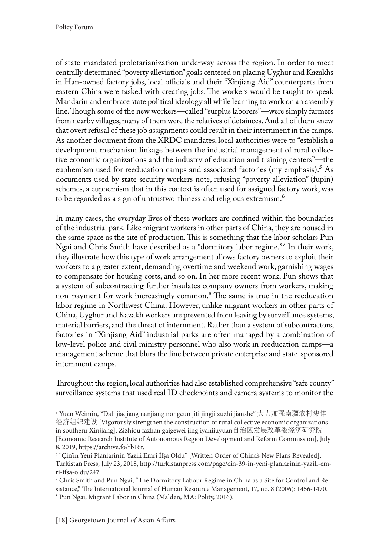of state-mandated proletarianization underway across the region. In order to meet centrally determined "poverty alleviation" goals centered on placing Uyghur and Kazakhs in Han-owned factory jobs, local officials and their "Xinjiang Aid" counterparts from eastern China were tasked with creating jobs. The workers would be taught to speak Mandarin and embrace state political ideology all while learning to work on an assembly line. Though some of the new workers—called "surplus laborers"—were simply farmers from nearby villages, many of them were the relatives of detainees. And all of them knew that overt refusal of these job assignments could result in their internment in the camps. As another document from the XRDC mandates, local authorities were to "establish a development mechanism linkage between the industrial management of rural collective economic organizations and the industry of education and training centers"—the euphemism used for reeducation camps and associated factories (my emphasis).<sup>5</sup> As documents used by state security workers note, refusing "poverty alleviation" (fupin) schemes, a euphemism that in this context is often used for assigned factory work, was to be regarded as a sign of untrustworthiness and religious extremism.<sup>6</sup>

In many cases, the everyday lives of these workers are confined within the boundaries of the industrial park. Like migrant workers in other parts of China, they are housed in the same space as the site of production. This is something that the labor scholars Pun Ngai and Chris Smith have described as a "dormitory labor regime."7 In their work, they illustrate how this type of work arrangement allows factory owners to exploit their workers to a greater extent, demanding overtime and weekend work, garnishing wages to compensate for housing costs, and so on. In her more recent work, Pun shows that a system of subcontracting further insulates company owners from workers, making non-payment for work increasingly common.<sup>8</sup> The same is true in the reeducation labor regime in Northwest China. However, unlike migrant workers in other parts of China, Uyghur and Kazakh workers are prevented from leaving by surveillance systems, material barriers, and the threat of internment. Rather than a system of subcontractors, factories in "Xinjiang Aid" industrial parks are often managed by a combination of low-level police and civil ministry personnel who also work in reeducation camps—a management scheme that blurs the line between private enterprise and state-sponsored internment camps.

Throughout the region, local authorities had also established comprehensive "safe county" surveillance systems that used real ID checkpoints and camera systems to monitor the

<sup>5</sup> Yuan Weimin, "Dali jiaqiang nanjiang nongcun jiti jingji zuzhi jianshe" 大力加强南疆农村集体 经济组织建设 [Vigorously strengthen the construction of rural collective economic organizations in southern Xinjiang], Zizhiqu fazhan gaigewei jingjiyanjiuyuan自治区发展改革委经济研究院 [Economic Research Institute of Autonomous Region Development and Reform Commission], July 8, 2019, https://archive.fo/rb16r.

<sup>6</sup> "Çin'in Yeni Planlarinin Yazili Emri İfşa Oldu" [Written Order of China's New Plans Revealed], Turkistan Press, July 23, 2018, http://turkistanpress.com/page/cin-39-in-yeni-planlarinin-yazili-emri-ifsa-oldu/247.

<sup>7</sup> Chris Smith and Pun Ngai, "The Dormitory Labour Regime in China as a Site for Control and Resistance," The International Journal of Human Resource Management, 17, no. 8 (2006): 1456-1470. 8 Pun Ngai, Migrant Labor in China (Malden, MA: Polity, 2016).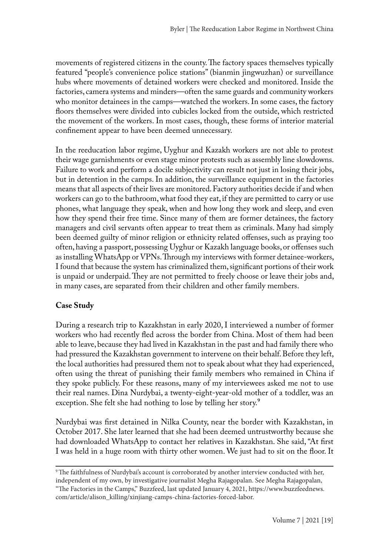movements of registered citizens in the county. The factory spaces themselves typically featured "people's convenience police stations" (bianmin jingwuzhan) or surveillance hubs where movements of detained workers were checked and monitored. Inside the factories, camera systems and minders—often the same guards and community workers who monitor detainees in the camps—watched the workers. In some cases, the factory floors themselves were divided into cubicles locked from the outside, which restricted the movement of the workers. In most cases, though, these forms of interior material confinement appear to have been deemed unnecessary.

In the reeducation labor regime, Uyghur and Kazakh workers are not able to protest their wage garnishments or even stage minor protests such as assembly line slowdowns. Failure to work and perform a docile subjectivity can result not just in losing their jobs, but in detention in the camps. In addition, the surveillance equipment in the factories means that all aspects of their lives are monitored. Factory authorities decide if and when workers can go to the bathroom, what food they eat, if they are permitted to carry or use phones, what language they speak, when and how long they work and sleep, and even how they spend their free time. Since many of them are former detainees, the factory managers and civil servants often appear to treat them as criminals. Many had simply been deemed guilty of minor religion or ethnicity related offenses, such as praying too often, having a passport, possessing Uyghur or Kazakh language books, or offenses such as installing WhatsApp or VPNs. Through my interviews with former detainee-workers, I found that because the system has criminalized them, significant portions of their work is unpaid or underpaid. They are not permitted to freely choose or leave their jobs and, in many cases, are separated from their children and other family members.

### **Case Study**

During a research trip to Kazakhstan in early 2020, I interviewed a number of former workers who had recently fled across the border from China. Most of them had been able to leave, because they had lived in Kazakhstan in the past and had family there who had pressured the Kazakhstan government to intervene on their behalf. Before they left, the local authorities had pressured them not to speak about what they had experienced, often using the threat of punishing their family members who remained in China if they spoke publicly. For these reasons, many of my interviewees asked me not to use their real names. Dina Nurdybai, a twenty-eight-year-old mother of a toddler, was an exception. She felt she had nothing to lose by telling her story.<sup>9</sup>

Nurdybai was first detained in Nilka County, near the border with Kazakhstan, in October 2017. She later learned that she had been deemed untrustworthy because she had downloaded WhatsApp to contact her relatives in Kazakhstan. She said, "At first I was held in a huge room with thirty other women. We just had to sit on the floor. It

<sup>9</sup>The faithfulness of Nurdybai's account is corroborated by another interview conducted with her, independent of my own, by investigative journalist Megha Rajagopalan. See Megha Rajagopalan,

<sup>&</sup>quot;The Factories in the Camps," Buzzfeed, last updated January 4, 2021, https://www.buzzfeednews. com/article/alison\_killing/xinjiang-camps-china-factories-forced-labor.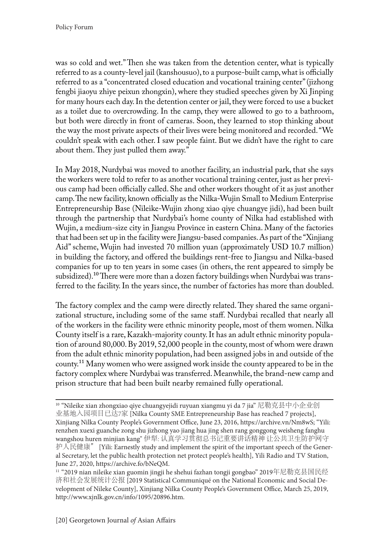was so cold and wet." Then she was taken from the detention center, what is typically referred to as a county-level jail (kanshousuo), to a purpose-built camp, what is officially referred to as a "concentrated closed education and vocational training center" (jizhong fengbi jiaoyu zhiye peixun zhongxin), where they studied speeches given by Xi Jinping for many hours each day. In the detention center or jail, they were forced to use a bucket as a toilet due to overcrowding. In the camp, they were allowed to go to a bathroom, but both were directly in front of cameras. Soon, they learned to stop thinking about the way the most private aspects of their lives were being monitored and recorded. "We couldn't speak with each other. I saw people faint. But we didn't have the right to care about them. They just pulled them away."

In May 2018, Nurdybai was moved to another facility, an industrial park, that she says the workers were told to refer to as another vocational training center, just as her previous camp had been officially called. She and other workers thought of it as just another camp. The new facility, known officially as the Nilka-Wujin Small to Medium Enterprise Entrepreneurship Base (Nileike-Wujin zhong xiao qiye chuangye jidi), had been built through the partnership that Nurdybai's home county of Nilka had established with Wujin, a medium-size city in Jiangsu Province in eastern China. Many of the factories that had been set up in the facility were Jiangsu-based companies. As part of the "Xinjiang Aid" scheme, Wujin had invested 70 million yuan (approximately USD 10.7 million) in building the factory, and offered the buildings rent-free to Jiangsu and Nilka-based companies for up to ten years in some cases (in others, the rent appeared to simply be subsidized).<sup>10</sup> There were more than a dozen factory buildings when Nurdybai was transferred to the facility. In the years since, the number of factories has more than doubled.

The factory complex and the camp were directly related. They shared the same organizational structure, including some of the same staff. Nurdybai recalled that nearly all of the workers in the facility were ethnic minority people, most of them women. Nilka County itself is a rare, Kazakh-majority county. It has an adult ethnic minority population of around 80,000. By 2019, 52,000 people in the county, most of whom were drawn from the adult ethnic minority population, had been assigned jobs in and outside of the county.<sup>11</sup> Many women who were assigned work inside the county appeared to be in the factory complex where Nurdybai was transferred. Meanwhile, the brand-new camp and prison structure that had been built nearby remained fully operational.

<sup>&</sup>lt;sup>10</sup> "Nileike xian zhongxiao qiye chuangyejidi ruyuan xiangmu yi da 7 jia" 尼勒克县中小企业创 业基地入园项目已达7家 [Nilka County SME Entrepreneurship Base has reached 7 projects], Xinjiang Nilka County People's Government Office, June 23, 2016, https://archive.vn/Nm8wS; "Yili: renzhen xuexi guanche zong shu jizhong yao jiang hua jing shen rang gonggong weisheng fanghu wangshou huren minjian kang" 伊犁: 认真学习贯彻总书记重要讲话精神 让公共卫生防护网守 护人民健康" [Yili: Earnestly study and implement the spirit of the important speech of the General Secretary, let the public health protection net protect people's health], Yili Radio and TV Station, June 27, 2020, https://archive.fo/bNeQM.

 $^{11}$  "2019 nian nileike xian guomin jingji he shehui fazhan tongji gongbao" 2019年尼勒克县国民经 济和社会发展统计公报 [2019 Statistical Communiqué on the National Economic and Social Development of Nileke County], Xinjiang Nilka County People's Government Office, March 25, 2019, http://www.xjnlk.gov.cn/info/1095/20896.htm.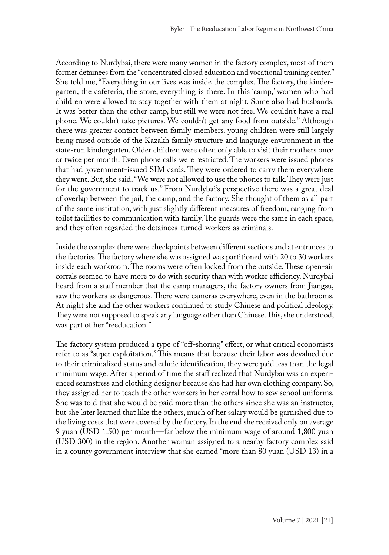According to Nurdybai, there were many women in the factory complex, most of them former detainees from the "concentrated closed education and vocational training center." She told me, "Everything in our lives was inside the complex. The factory, the kindergarten, the cafeteria, the store, everything is there. In this 'camp,' women who had children were allowed to stay together with them at night. Some also had husbands. It was better than the other camp, but still we were not free. We couldn't have a real phone. We couldn't take pictures. We couldn't get any food from outside." Although there was greater contact between family members, young children were still largely being raised outside of the Kazakh family structure and language environment in the state-run kindergarten. Older children were often only able to visit their mothers once or twice per month. Even phone calls were restricted. The workers were issued phones that had government-issued SIM cards. They were ordered to carry them everywhere they went. But, she said, "We were not allowed to use the phones to talk. They were just for the government to track us." From Nurdybai's perspective there was a great deal of overlap between the jail, the camp, and the factory. She thought of them as all part of the same institution, with just slightly different measures of freedom, ranging from toilet facilities to communication with family. The guards were the same in each space, and they often regarded the detainees-turned-workers as criminals.

Inside the complex there were checkpoints between different sections and at entrances to the factories. The factory where she was assigned was partitioned with 20 to 30 workers inside each workroom. The rooms were often locked from the outside. These open-air corrals seemed to have more to do with security than with worker efficiency. Nurdybai heard from a staff member that the camp managers, the factory owners from Jiangsu, saw the workers as dangerous. There were cameras everywhere, even in the bathrooms. At night she and the other workers continued to study Chinese and political ideology. They were not supposed to speak any language other than Chinese. This, she understood, was part of her "reeducation."

The factory system produced a type of "off-shoring" effect, or what critical economists refer to as "super exploitation." This means that because their labor was devalued due to their criminalized status and ethnic identification, they were paid less than the legal minimum wage. After a period of time the staff realized that Nurdybai was an experienced seamstress and clothing designer because she had her own clothing company. So, they assigned her to teach the other workers in her corral how to sew school uniforms. She was told that she would be paid more than the others since she was an instructor, but she later learned that like the others, much of her salary would be garnished due to the living costs that were covered by the factory. In the end she received only on average 9 yuan (USD 1.50) per month—far below the minimum wage of around 1,800 yuan (USD 300) in the region. Another woman assigned to a nearby factory complex said in a county government interview that she earned "more than 80 yuan (USD 13) in a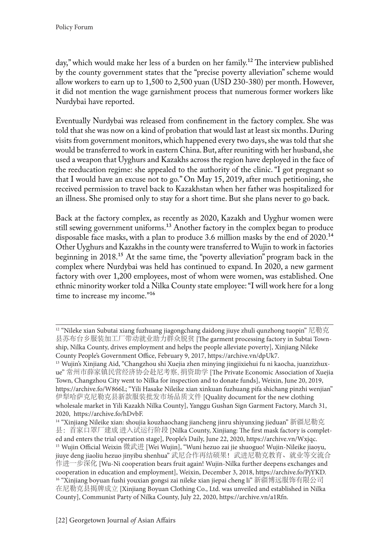day," which would make her less of a burden on her family.<sup>12</sup> The interview published by the county government states that the "precise poverty alleviation" scheme would allow workers to earn up to 1,500 to 2,500 yuan (USD 230-380) per month. However, it did not mention the wage garnishment process that numerous former workers like Nurdybai have reported.

Eventually Nurdybai was released from confinement in the factory complex. She was told that she was now on a kind of probation that would last at least six months. During visits from government monitors, which happened every two days, she was told that she would be transferred to work in eastern China. But, after reuniting with her husband, she used a weapon that Uyghurs and Kazakhs across the region have deployed in the face of the reeducation regime: she appealed to the authority of the clinic. "I got pregnant so that I would have an excuse not to go." On May 15, 2019, after much petitioning, she received permission to travel back to Kazakhstan when her father was hospitalized for an illness. She promised only to stay for a short time. But she plans never to go back.

Back at the factory complex, as recently as 2020, Kazakh and Uyghur women were still sewing government uniforms.<sup>13</sup> Another factory in the complex began to produce disposable face masks, with a plan to produce 3.6 million masks by the end of 2020.<sup>14</sup> Other Uyghurs and Kazakhs in the county were transferred to Wujin to work in factories beginning in 2018.15 At the same time, the "poverty alleviation" program back in the complex where Nurdybai was held has continued to expand. In 2020, a new garment factory with over 1,200 employees, most of whom were women, was established. One ethnic minority worker told a Nilka County state employee: "I will work here for a long time to increase my income."<sup>16</sup>

<sup>&</sup>lt;sup>12</sup> "Nileke xian Subutai xiang fuzhuang jiagongchang daidong jiuye zhuli qunzhong tuopin" 尼勒克 县苏布台乡服装加工厂带动就业助力群众脱贫 [The garment processing factory in Subtai Township, Nilka County, drives employment and helps the people alleviate poverty], Xinjiang Nileke County People's Government Office, February 9, 2017, https://archive.vn/dpUk7.

<sup>&</sup>lt;sup>13</sup> Wujin's Xinjiang Aid, "Changzhou shi Xuejia zhen minying jingjixiehui fu ni kaocha, juanzizhuxue" 常州市薛家镇民营经济协会赴尼考察, 捐资助学 [The Private Economic Association of Xuejia Town, Changzhou City went to Nilka for inspection and to donate funds], Weixin, June 20, 2019, https://archive.fo/W866L; "Yili Hasake Nileike xian xinkuan fuzhuang pifa shichang pinzhi wenjian" 伊犁哈萨克尼勒克县新款服装批发市场品质文件 [Quality document for the new clothing wholesale market in Yili Kazakh Nilka County], Yanggu Gushan Sign Garment Factory, March 31, 2020, https://archive.fo/hDvbF.

<sup>&</sup>lt;sup>14</sup> "Xinjiang Nileike xian: shoujia kouzhaochang jiancheng jinru shiyunxing jieduan" 新疆尼勒克 县:首家口罩厂建成 进入试运行阶段 [Nilka County, Xinjiang: The first mask factory is completed and enters the trial operation stage], People's Daily, June 22, 2020, https://archive.vn/Wxjqc. 15 Wujin Official Weixin 微武进 [Wei Wujin], "Wuni hezuo zai jie shuoguo! Wujin-Nileike jiaoyu, jiuye deng jiaoliu hezuo jinyibu shenhua" 武尼合作再结硕果! 武进尼勒克教育、就业等交流合 作进一步深化 [Wu-Ni cooperation bears fruit again! Wujin-Nilka further deepens exchanges and cooperation in education and employment], Weixin, December 3, 2018, https://archive.fo/PjYKD. <sup>16</sup> "Xinjiang boyuan fushi youxian gongsi zai nileke xian jiepai cheng li" 新疆博远服饰有限公司 在尼勒克县揭牌成立 [Xinjiang Boyuan Clothing Co., Ltd. was unveiled and established in Nilka County], Communist Party of Nilka County, July 22, 2020, https://archive.vn/a1Rfn.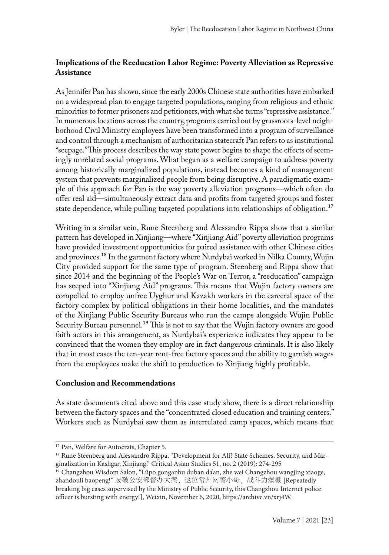## **Implications of the Reeducation Labor Regime: Poverty Alleviation as Repressive Assistance**

As Jennifer Pan has shown, since the early 2000s Chinese state authorities have embarked on a widespread plan to engage targeted populations, ranging from religious and ethnic minorities to former prisoners and petitioners, with what she terms "repressive assistance." In numerous locations across the country, programs carried out by grassroots-level neighborhood Civil Ministry employees have been transformed into a program of surveillance and control through a mechanism of authoritarian statecraft Pan refers to as institutional "seepage." This process describes the way state power begins to shape the effects of seemingly unrelated social programs. What began as a welfare campaign to address poverty among historically marginalized populations, instead becomes a kind of management system that prevents marginalized people from being disruptive. A paradigmatic example of this approach for Pan is the way poverty alleviation programs—which often do offer real aid—simultaneously extract data and profits from targeted groups and foster state dependence, while pulling targeted populations into relationships of obligation.<sup>17</sup>

Writing in a similar vein, Rune Steenberg and Alessandro Rippa show that a similar pattern has developed in Xinjiang—where "Xinjiang Aid" poverty alleviation programs have provided investment opportunities for paired assistance with other Chinese cities and provinces.18 In the garment factory where Nurdybai worked in Nilka County, Wujin City provided support for the same type of program. Steenberg and Rippa show that since 2014 and the beginning of the People's War on Terror, a "reeducation" campaign has seeped into "Xinjiang Aid" programs. This means that Wujin factory owners are compelled to employ unfree Uyghur and Kazakh workers in the carceral space of the factory complex by political obligations in their home localities, and the mandates of the Xinjiang Public Security Bureaus who run the camps alongside Wujin Public Security Bureau personnel.<sup>19</sup> This is not to say that the Wujin factory owners are good faith actors in this arrangement, as Nurdybai's experience indicates they appear to be convinced that the women they employ are in fact dangerous criminals. It is also likely that in most cases the ten-year rent-free factory spaces and the ability to garnish wages from the employees make the shift to production to Xinjiang highly profitable.

### **Conclusion and Recommendations**

As state documents cited above and this case study show, there is a direct relationship between the factory spaces and the "concentrated closed education and training centers." Workers such as Nurdybai saw them as interrelated camp spaces, which means that

<sup>&</sup>lt;sup>17</sup> Pan, Welfare for Autocrats, Chapter 5.

<sup>&</sup>lt;sup>18</sup> Rune Steenberg and Alessandro Rippa, "Development for All? State Schemes, Security, and Marginalization in Kashgar, Xinjiang," Critical Asian Studies 51, no. 2 (2019): 274-295

<sup>&</sup>lt;sup>19</sup> Changzhou Wisdom Salon, "Lüpo gonganbu duban da'an, zhe wei Changzhou wangjing xiaoge, zhandouli baopeng!" 屡破公安部督办大案,这位常州网警小哥,战斗力爆棚 [Repeatedly breaking big cases supervised by the Ministry of Public Security, this Changzhou Internet police officer is bursting with energy!], Weixin, November 6, 2020, https://archive.vn/xrj4W.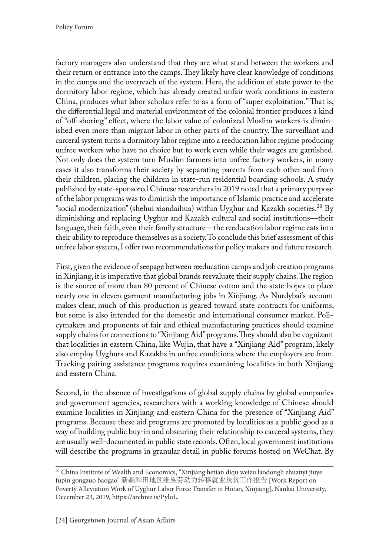factory managers also understand that they are what stand between the workers and their return or entrance into the camps. They likely have clear knowledge of conditions in the camps and the overreach of the system. Here, the addition of state power to the dormitory labor regime, which has already created unfair work conditions in eastern China, produces what labor scholars refer to as a form of "super exploitation." That is, the differential legal and material environment of the colonial frontier produces a kind of "off-shoring" effect, where the labor value of colonized Muslim workers is diminished even more than migrant labor in other parts of the country. The surveillant and carceral system turns a dormitory labor regime into a reeducation labor regime producing unfree workers who have no choice but to work even while their wages are garnished. Not only does the system turn Muslim farmers into unfree factory workers, in many cases it also transforms their society by separating parents from each other and from their children, placing the children in state-run residential boarding schools. A study published by state-sponsored Chinese researchers in 2019 noted that a primary purpose of the labor programs was to diminish the importance of Islamic practice and accelerate "social modernization" (shehui xiandaihua) within Uyghur and Kazakh societies.20 By diminishing and replacing Uyghur and Kazakh cultural and social institutions—their language, their faith, even their family structure—the reeducation labor regime eats into their ability to reproduce themselves as a society. To conclude this brief assessment of this unfree labor system, I offer two recommendations for policy makers and future research.

First, given the evidence of seepage between reeducation camps and job creation programs in Xinjiang, it is imperative that global brands reevaluate their supply chains. The region is the source of more than 80 percent of Chinese cotton and the state hopes to place nearly one in eleven garment manufacturing jobs in Xinjiang. As Nurdybai's account makes clear, much of this production is geared toward state contracts for uniforms, but some is also intended for the domestic and international consumer market. Policymakers and proponents of fair and ethical manufacturing practices should examine supply chains for connections to "Xinjiang Aid" programs. They should also be cognizant that localities in eastern China, like Wujin, that have a "Xinjiang Aid" program, likely also employ Uyghurs and Kazakhs in unfree conditions where the employers are from. Tracking pairing assistance programs requires examining localities in both Xinjiang and eastern China.

Second, in the absence of investigations of global supply chains by global companies and government agencies, researchers with a working knowledge of Chinese should examine localities in Xinjiang and eastern China for the presence of "Xinjiang Aid" programs. Because these aid programs are promoted by localities as a public good as a way of building public buy-in and obscuring their relationship to carceral systems, they are usually well-documented in public state records. Often, local government institutions will describe the programs in granular detail in public forums hosted on WeChat. By

<sup>&</sup>lt;sup>20</sup> China Institute of Wealth and Economics, "Xinjiang hetian diqu weizu laodongli zhuanyi jiuye fupin gongzuo baogao" 新疆和田地区维族劳动力转移就业扶贫工作报告 [Work Report on Poverty Alleviation Work of Uyghur Labor Force Transfer in Hotan, Xinjiang], Nankai University, December 23, 2019, https://archive.is/PyluL.